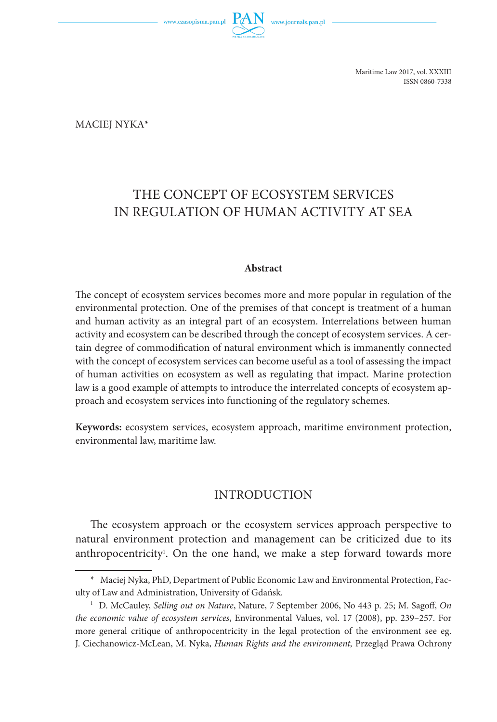

Maritime Law 2017, vol. XXXIII ISSN 0860-7338

Maciej Nyka\*

# THE CONCEPT OF ECOSYSTEM SERVICES IN REGULATION OF HUMAN ACTIVITY AT SEA

#### **Abstract**

The concept of ecosystem services becomes more and more popular in regulation of the environmental protection. One of the premises of that concept is treatment of a human and human activity as an integral part of an ecosystem. Interrelations between human activity and ecosystem can be described through the concept of ecosystem services. A certain degree of commodification of natural environment which is immanently connected with the concept of ecosystem services can become useful as a tool of assessing the impact of human activities on ecosystem as well as regulating that impact. Marine protection law is a good example of attempts to introduce the interrelated concepts of ecosystem approach and ecosystem services into functioning of the regulatory schemes.

**Keywords:** ecosystem services, ecosystem approach, maritime environment protection, environmental law, maritime law.

### INTRODUCTION

The ecosystem approach or the ecosystem services approach perspective to natural environment protection and management can be criticized due to its anthropocentricity<sup>1</sup>. On the one hand, we make a step forward towards more

<sup>\*</sup> Maciej Nyka, PhD, Department of Public Economic Law and Environmental Protection, Faculty of Law and Administration, University of Gdańsk.

<sup>1</sup> D. McCauley, *Selling out on Nature*, Nature, 7 September 2006, No 443 p. 25; M. Sagoff, *On the economic value of ecosystem services*, Environmental Values, vol. 17 (2008), pp. 239–257. For more general critique of anthropocentricity in the legal protection of the environment see eg. J. Ciechanowicz -McLean, M. Nyka, *Human Rights and the environment,* Przegląd Prawa Ochrony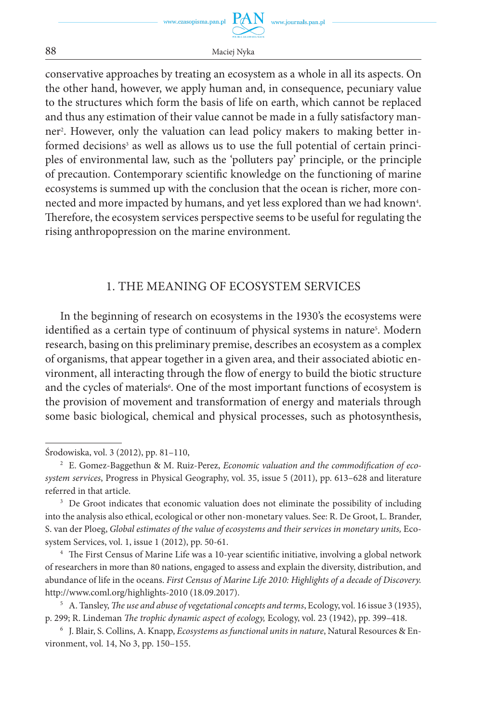conservative approaches by treating an ecosystem as a whole in all its aspects. On the other hand, however, we apply human and, in consequence, pecuniary value to the structures which form the basis of life on earth, which cannot be replaced and thus any estimation of their value cannot be made in a fully satisfactory manner2 . However, only the valuation can lead policy makers to making better informed decisions<sup>3</sup> as well as allows us to use the full potential of certain principles of environmental law, such as the 'polluters pay' principle, or the principle of precaution. Contemporary scientific knowledge on the functioning of marine ecosystems is summed up with the conclusion that the ocean is richer, more connected and more impacted by humans, and yet less explored than we had known4. Therefore, the ecosystem services perspective seems to be useful for regulating the rising anthropopression on the marine environment.

## 1. THE MEANING OF ECOSYSTEM SERVICES

In the beginning of research on ecosystems in the 1930's the ecosystems were identified as a certain type of continuum of physical systems in nature<sup>5</sup>. Modern research, basing on this preliminary premise, describes an ecosystem as a complex of organisms, that appear together in a given area, and their associated abiotic environment, all interacting through the flow of energy to build the biotic structure and the cycles of materials<sup>6</sup>. One of the most important functions of ecosystem is the provision of movement and transformation of energy and materials through some basic biological, chemical and physical processes, such as photosynthesis,

Środowiska, vol. 3 (2012), pp. 81–110,

<sup>2</sup> E. Gomez-Baggethun & M. Ruiz-Perez, *Economic valuation and the commodification of ecosystem services*, Progress in Physical Geography, vol. 35, issue 5 (2011), pp. 613–628 and literature referred in that article.

<sup>&</sup>lt;sup>3</sup> De Groot indicates that economic valuation does not eliminate the possibility of including into the analysis also ethical, ecological or other non-monetary values. See: R. De Groot, L. Brander, S. van der Ploeg, *Global estimates of the value of ecosystems and their services in monetary units, Eco*system Services, vol. 1, issue 1 (2012), pp. 50-61.

<sup>4</sup> The First Census of Marine Life was a 10-year scientific initiative, involving a global network of researchers in more than 80 nations, engaged to assess and explain the diversity, distribution, and abundance of life in the oceans. *First Census of Marine Life 2010: Highlights of a decade of Discovery.* http://www.coml.org/highlights-2010 (18.09.2017).

<sup>5</sup> A. Tansley, *The use and abuse of vegetational concepts and terms*, Ecology, vol. 16 issue 3 (1935), p. 299; R. Lindeman *The trophic dynamic aspect of ecology,* Ecology, vol. 23 (1942), pp. 399–418.

<sup>6</sup> J. Blair, S. Collins, A. Knapp, *Ecosystems as functional units in nature*, Natural Resources & Environment, vol. 14, No 3, pp. 150–155.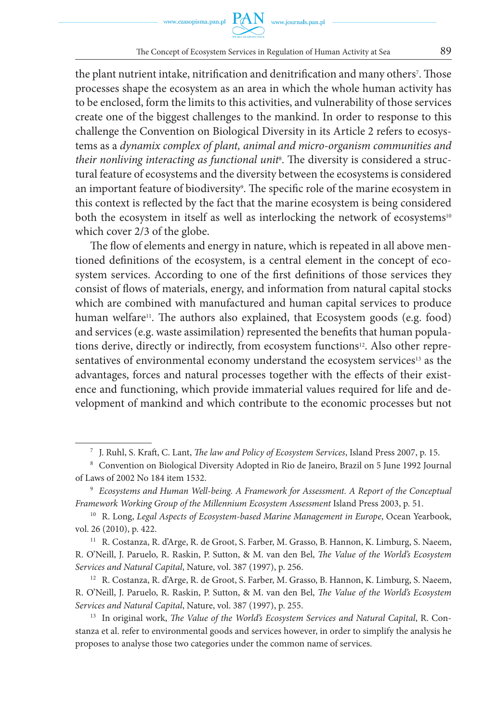the plant nutrient intake, nitrification and denitrification and many others<sup>7</sup>. Those processes shape the ecosystem as an area in which the whole human activity has to be enclosed, form the limits to this activities, and vulnerability of those services create one of the biggest challenges to the mankind. In order to response to this challenge the Convention on Biological Diversity in its Article 2 refers to ecosystems as a *dynamix complex of plant, animal and micro-organism communities and their nonliving interacting as functional unit*<sup>8</sup> . The diversity is considered a structural feature of ecosystems and the diversity between the ecosystems is considered an important feature of biodiversity°. The specific role of the marine ecosystem in this context is reflected by the fact that the marine ecosystem is being considered both the ecosystem in itself as well as interlocking the network of ecosystems<sup>10</sup> which cover 2/3 of the globe.

The flow of elements and energy in nature, which is repeated in all above mentioned definitions of the ecosystem, is a central element in the concept of ecosystem services. According to one of the first definitions of those services they consist of flows of materials, energy, and information from natural capital stocks which are combined with manufactured and human capital services to produce human welfare<sup>11</sup>. The authors also explained, that Ecosystem goods (e.g. food) and services (e.g. waste assimilation) represented the benefits that human populations derive, directly or indirectly, from ecosystem functions<sup>12</sup>. Also other representatives of environmental economy understand the ecosystem services<sup>13</sup> as the advantages, forces and natural processes together with the effects of their existence and functioning, which provide immaterial values required for life and development of mankind and which contribute to the economic processes but not

<sup>12</sup> R. Costanza, R. d'Arge, R. de Groot, S. Farber, M. Grasso, B. Hannon, K. Limburg, S. Naeem, R. O'Neill, J. Paruelo, R. Raskin, P. Sutton, & M. van den Bel, *The Value of the World's Ecosystem Services and Natural Capital*, Nature, vol. 387 (1997), p. 255.

<sup>13</sup> In original work, *The Value of the World's Ecosystem Services and Natural Capital*, R. Constanza et al. refer to environmental goods and services however, in order to simplify the analysis he proposes to analyse those two categories under the common name of services.

<sup>7</sup> J. Ruhl, S. Kraft, C. Lant, *The law and Policy of Ecosystem Services*, Island Press 2007, p. 15.

<sup>8</sup> Convention on Biological Diversity Adopted in Rio de Janeiro, Brazil on 5 June 1992 Journal of Laws of 2002 No 184 item 1532.

<sup>9</sup> *Ecosystems and Human Well-being. A Framework for Assessment. A Report of the Conceptual Framework Working Group of the Millennium Ecosystem Assessment* Island Press 2003, p. 51.

<sup>&</sup>lt;sup>10</sup> R. Long, *Legal Aspects of Ecosystem-based Marine Management in Europe*, Ocean Yearbook, vol. 26 (2010), p. 422.

<sup>11</sup> R. Costanza, R. d'Arge, R. de Groot, S. Farber, M. Grasso, B. Hannon, K. Limburg, S. Naeem, R. O'Neill, J. Paruelo, R. Raskin, P. Sutton, & M. van den Bel, *The Value of the World's Ecosystem Services and Natural Capital*, Nature, vol. 387 (1997), p. 256.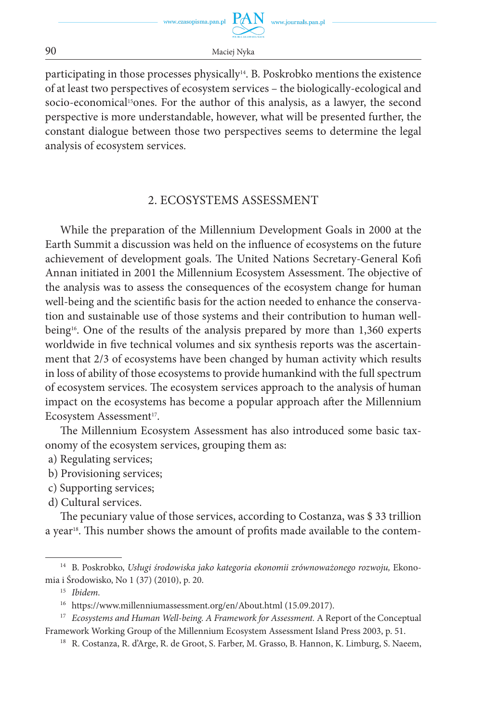

participating in those processes physically<sup>14</sup>. B. Poskrobko mentions the existence of at least two perspectives of ecosystem services – the biologically-ecological and socio-economical<sup>15</sup>ones. For the author of this analysis, as a lawyer, the second perspective is more understandable, however, what will be presented further, the constant dialogue between those two perspectives seems to determine the legal analysis of ecosystem services.

## 2. ECOSYSTEMS ASSESSMENT

While the preparation of the Millennium Development Goals in 2000 at the Earth Summit a discussion was held on the influence of ecosystems on the future achievement of development goals. The United Nations Secretary-General Kofi Annan initiated in 2001 the Millennium Ecosystem Assessment. The objective of the analysis was to assess the consequences of the ecosystem change for human well-being and the scientific basis for the action needed to enhance the conservation and sustainable use of those systems and their contribution to human wellbeing<sup>16</sup>. One of the results of the analysis prepared by more than  $1,360$  experts worldwide in five technical volumes and six synthesis reports was the ascertainment that 2/3 of ecosystems have been changed by human activity which results in loss of ability of those ecosystems to provide humankind with the full spectrum of ecosystem services. The ecosystem services approach to the analysis of human impact on the ecosystems has become a popular approach after the Millennium Ecosystem Assessment<sup>17</sup>.

The Millennium Ecosystem Assessment has also introduced some basic taxonomy of the ecosystem services, grouping them as:

- a) Regulating services;
- b) Provisioning services;
- c) Supporting services;
- d) Cultural services.

The pecuniary value of those services, according to Costanza, was \$ 33 trillion a year<sup>18</sup>. This number shows the amount of profits made available to the contem-

<sup>15</sup> *Ibidem.*

<sup>17</sup> *Ecosystems and Human Well-being. A Framework for Assessment.* A Report of the Conceptual Framework Working Group of the Millennium Ecosystem Assessment Island Press 2003, p. 51.

<sup>14</sup> B. Poskrobko, *Usługi środowiska jako kategoria ekonomii zrównoważonego rozwoju,* Ekonomia i Środowisko, No 1 (37) (2010), p. 20.

<sup>16</sup> https://www.millenniumassessment.org/en/About.html (15.09.2017).

<sup>18</sup> R. Costanza, R. d'Arge, R. de Groot, S. Farber, M. Grasso, B. Hannon, K. Limburg, S. Naeem,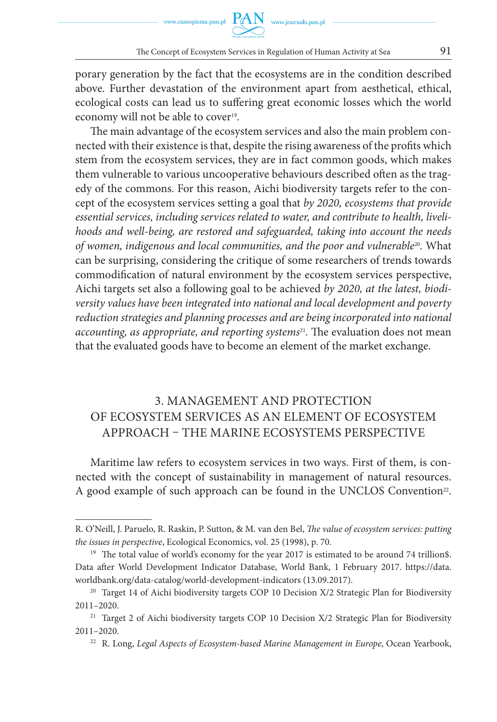porary generation by the fact that the ecosystems are in the condition described above. Further devastation of the environment apart from aesthetical, ethical, ecological costs can lead us to suffering great economic losses which the world economy will not be able to cover<sup>19</sup>.

The main advantage of the ecosystem services and also the main problem connected with their existence is that, despite the rising awareness of the profits which stem from the ecosystem services, they are in fact common goods, which makes them vulnerable to various uncooperative behaviours described often as the tragedy of the commons. For this reason, Aichi biodiversity targets refer to the concept of the ecosystem services setting a goal that *by 2020, ecosystems that provide essential services, including services related to water, and contribute to health, livelihoods and well-being, are restored and safeguarded, taking into account the needs of women, indigenous and local communities, and the poor and vulnerable*20*.* What can be surprising, considering the critique of some researchers of trends towards commodification of natural environment by the ecosystem services perspective, Aichi targets set also a following goal to be achieved *by 2020, at the latest, biodiversity values have been integrated into national and local development and poverty reduction strategies and planning processes and are being incorporated into national accounting, as appropriate, and reporting systems*21*.* The evaluation does not mean that the evaluated goods have to become an element of the market exchange.

# 3. MANAGEMENT AND PROTECTION OF ECOSYSTEM SERVICES AS AN ELEMENT OF ECOSYSTEM APPROACH – THE MARINE ECOSYSTEMS PERSPECTIVE

Maritime law refers to ecosystem services in two ways. First of them, is connected with the concept of sustainability in management of natural resources. A good example of such approach can be found in the UNCLOS Convention<sup>22</sup>.

R. O'Neill, J. Paruelo, R. Raskin, P. Sutton, & M. van den Bel, *The value of ecosystem services: putting the issues in perspective*, Ecological Economics, vol. 25 (1998), p. 70.

<sup>&</sup>lt;sup>19</sup> The total value of world's economy for the year 2017 is estimated to be around 74 trillion\$. Data after World Development Indicator Database, World Bank, 1 February 2017. https://data. worldbank.org/data-catalog/world-development-indicators (13.09.2017).

<sup>&</sup>lt;sup>20</sup> Target 14 of Aichi biodiversity targets COP 10 Decision  $X/2$  Strategic Plan for Biodiversity 2011–2020.

<sup>&</sup>lt;sup>21</sup> Target 2 of Aichi biodiversity targets COP 10 Decision X/2 Strategic Plan for Biodiversity 2011–2020.

<sup>&</sup>lt;sup>22</sup> R. Long, *Legal Aspects of Ecosystem-based Marine Management in Europe*, Ocean Yearbook,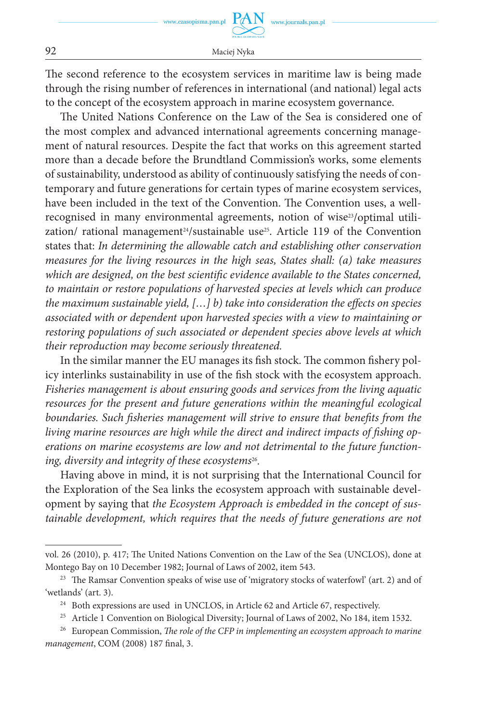The second reference to the ecosystem services in maritime law is being made through the rising number of references in international (and national) legal acts to the concept of the ecosystem approach in marine ecosystem governance.

The United Nations Conference on the Law of the Sea is considered one of the most complex and advanced international agreements concerning management of natural resources. Despite the fact that works on this agreement started more than a decade before the Brundtland Commission's works, some elements of sustainability, understood as ability of continuously satisfying the needs of contemporary and future generations for certain types of marine ecosystem services, have been included in the text of the Convention. The Convention uses, a wellrecognised in many environmental agreements, notion of wise<sup>23</sup>/optimal utilization/ rational management<sup>24</sup>/sustainable use<sup>25</sup>. Article 119 of the Convention states that: *In determining the allowable catch and establishing other conservation measures for the living resources in the high seas, States shall: (a) take measures which are designed, on the best scientific evidence available to the States concerned, to maintain or restore populations of harvested species at levels which can produce the maximum sustainable yield, […] b) take into consideration the effects on species associated with or dependent upon harvested species with a view to maintaining or restoring populations of such associated or dependent species above levels at which their reproduction may become seriously threatened.*

In the similar manner the EU manages its fish stock. The common fishery policy interlinks sustainability in use of the fish stock with the ecosystem approach. *Fisheries management is about ensuring goods and services from the living aquatic*  resources for the present and future generations within the meaningful ecological boundaries. Such fisheries management will strive to ensure that benefits from the *living marine resources are high while the direct and indirect impacts of fishing operations on marine ecosystems are low and not detrimental to the future functioning, diversity and integrity of these ecosystems*26*.*

Having above in mind, it is not surprising that the International Council for the Exploration of the Sea links the ecosystem approach with sustainable development by saying that *the Ecosystem Approach is embedded in the concept of sus*tainable development, which requires that the needs of future generations are not

vol. 26 (2010), p. 417; The United Nations Convention on the Law of the Sea (UNCLOS), done at Montego Bay on 10 December 1982; Journal of Laws of 2002, item 543.

<sup>&</sup>lt;sup>23</sup> The Ramsar Convention speaks of wise use of 'migratory stocks of waterfowl' (art. 2) and of 'wetlands' (art. 3).

<sup>&</sup>lt;sup>24</sup> Both expressions are used in UNCLOS, in Article 62 and Article 67, respectively.

<sup>&</sup>lt;sup>25</sup> Article 1 Convention on Biological Diversity; Journal of Laws of 2002, No 184, item 1532.

<sup>26</sup> European Commission, *The role of the CFP in implementing an ecosystem approach to marine management*, COM (2008) 187 final, 3.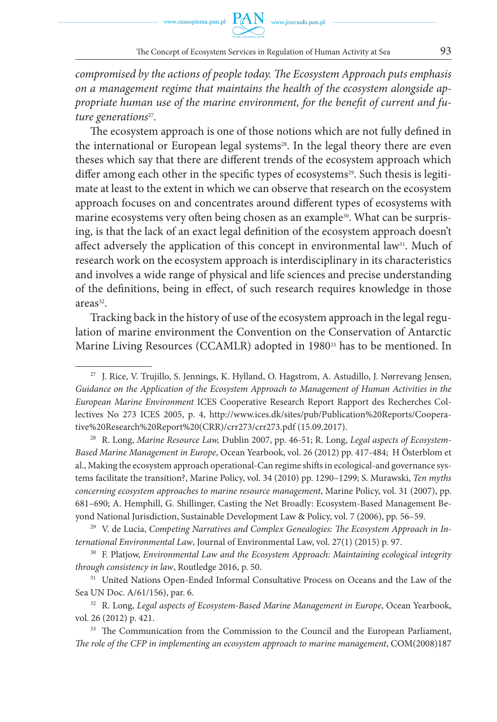

*compromised by the actions of people today. The Ecosystem Approach puts emphasis on a management regime that maintains the health of the ecosystem alongside appropriate human use of the marine environment, for the benefit of current and future generations*27*.*

The ecosystem approach is one of those notions which are not fully defined in the international or European legal systems<sup>28</sup>. In the legal theory there are even theses which say that there are different trends of the ecosystem approach which differ among each other in the specific types of ecosystems<sup>29</sup>. Such thesis is legitimate at least to the extent in which we can observe that research on the ecosystem approach focuses on and concentrates around different types of ecosystems with marine ecosystems very often being chosen as an example<sup>30</sup>. What can be surprising, is that the lack of an exact legal definition of the ecosystem approach doesn't affect adversely the application of this concept in environmental law<sup>31</sup>. Much of research work on the ecosystem approach is interdisciplinary in its characteristics and involves a wide range of physical and life sciences and precise understanding of the definitions, being in effect, of such research requires knowledge in those areas<sup>32</sup>.

Tracking back in the history of use of the ecosystem approach in the legal regulation of marine environment the Convention on the Conservation of Antarctic Marine Living Resources (CCAMLR) adopted in 1980<sup>33</sup> has to be mentioned. In

<sup>27</sup> J. Rice, V. Trujillo, S. Jennings, K. Hylland, O. Hagstrom, A. Astudillo, J. Nørrevang Jensen, *Guidance on the Application of the Ecosystem Approach to Management of Human Activities in the European Marine Environment* ICES Cooperative Research Report Rapport des Recherches Collectives No 273 ICES 2005, p. 4, http://www.ices.dk/sites/pub/Publication%20Reports/Cooperative%20Research%20Report%20(CRR)/crr273/crr273.pdf (15.09.2017).

<sup>28</sup> R. Long, *Marine Resource Law,* Dublin 2007, pp. 46-51; R. Long, *Legal aspects of Ecosystem-Based Marine Management in Europe*, Ocean Yearbook, vol. 26 (2012) pp. 417-484; H Österblom et al., Making the ecosystem approach operational-Can regime shifts in ecological-and governance systems facilitate the transition?, Marine Policy, vol. 34 (2010) pp. 1290–1299; S. Murawski, *Ten myths concerning ecosystem approaches to marine resource management*, Marine Policy, vol. 31 (2007), pp. 681–690; A. Hemphill, G. Shillinger, Casting the Net Broadly: Ecosystem-Based Management Beyond National Jurisdiction, Sustainable Development Law & Policy, vol. 7 (2006), pp. 56–59.

<sup>29</sup> V. de Lucia, *Competing Narratives and Complex Genealogies: The Ecosystem Approach in International Environmental Law*, Journal of Environmental Law, vol. 27(1) (2015) p. 97.

<sup>30</sup> F. Platjow, *Environmental Law and the Ecosystem Approach: Maintaining ecological integrity through consistency in law*, Routledge 2016, p. 50.

<sup>&</sup>lt;sup>31</sup> United Nations Open-Ended Informal Consultative Process on Oceans and the Law of the Sea UN Doc. A/61/156), par. 6.

<sup>&</sup>lt;sup>32</sup> R. Long, *Legal aspects of Ecosystem-Based Marine Management in Europe*, Ocean Yearbook, vol. 26 (2012) p. 421.<br><sup>33</sup> The Communication from the Commission to the Council and the European Parliament,

*The role of the CFP in implementing an ecosystem approach to marine management*, COM(2008)187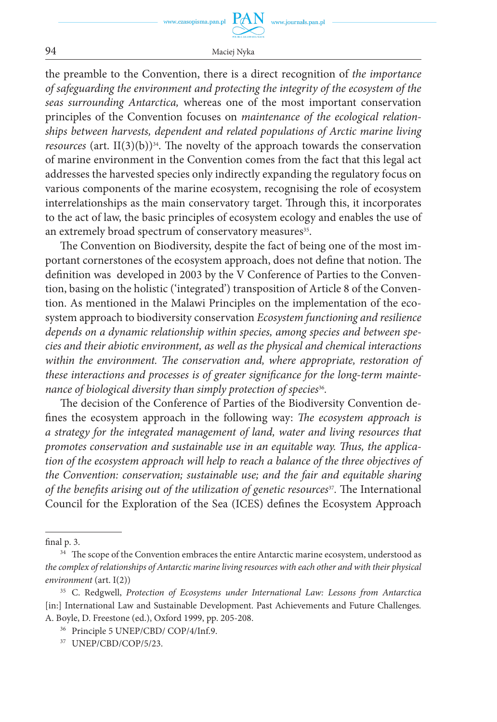www.czasopisma.pan.pl

94 Maciej Nyka

the preamble to the Convention, there is a direct recognition of *the importance of safeguarding the environment and protecting the integrity of the ecosystem of the seas surrounding Antarctica,* whereas one of the most important conservation principles of the Convention focuses on *maintenance of the ecological relationships between harvests, dependent and related populations of Arctic marine living resources* (art.  $II(3)(b)$ <sup>34</sup>. The novelty of the approach towards the conservation of marine environment in the Convention comes from the fact that this legal act addresses the harvested species only indirectly expanding the regulatory focus on various components of the marine ecosystem, recognising the role of ecosystem interrelationships as the main conservatory target. Through this, it incorporates to the act of law, the basic principles of ecosystem ecology and enables the use of an extremely broad spectrum of conservatory measures<sup>35</sup>.

The Convention on Biodiversity, despite the fact of being one of the most important cornerstones of the ecosystem approach, does not define that notion. The definition was developed in 2003 by the V Conference of Parties to the Convention, basing on the holistic ('integrated') transposition of Article 8 of the Convention. As mentioned in the Malawi Principles on the implementation of the ecosystem approach to biodiversity conservation *Ecosystem functioning and resilience depends on a dynamic relationship within species, among species and between species and their abiotic environment, as well as the physical and chemical interactions within the environment. The conservation and, where appropriate, restoration of these interactions and processes is of greater significance for the long-term maintenance of biological diversity than simply protection of species*<sup>36</sup>.

The decision of the Conference of Parties of the Biodiversity Convention defines the ecosystem approach in the following way: *The ecosystem approach is a strategy for the integrated management of land, water and living resources that promotes conservation and sustainable use in an equitable way. Thus, the application of the ecosystem approach will help to reach a balance of the three objectives of the Convention: conservation; sustainable use; and the fair and equitable sharing of the benefits arising out of the utilization of genetic resources<sup>37</sup>. The International* Council for the Exploration of the Sea (ICES) defines the Ecosystem Approach

final p. 3.

<sup>&</sup>lt;sup>34</sup> The scope of the Convention embraces the entire Antarctic marine ecosystem, understood as *the complex of relationships of Antarctic marine living resources with each other and with their physical environment* (art. I(2))

<sup>35</sup> C. Redgwell, *Protection of Ecosystems under International Law: Lessons from Antarctica* [in:] International Law and Sustainable Development. Past Achievements and Future Challenges*.* A. Boyle, D. Freestone (ed.), Oxford 1999, pp. 205-208.

<sup>36</sup> Principle 5 UNEP/CBD/ COP/4/Inf.9.

<sup>37</sup> UNEP/CBD/COP/5/23.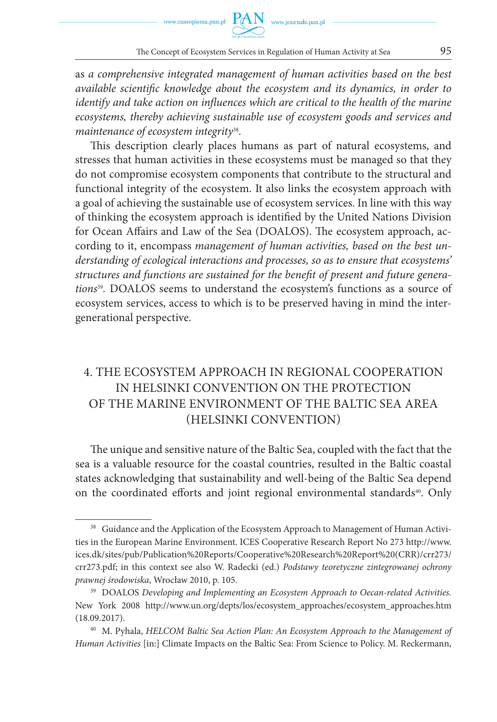

as *a comprehensive integrated management of human activities based on the best available scientific knowledge about the ecosystem and its dynamics, in order to identify and take action on influences which are critical to the health of the marine ecosystems, thereby achieving sustainable use of ecosystem goods and services and maintenance of ecosystem integrity*38*.* 

This description clearly places humans as part of natural ecosystems, and stresses that human activities in these ecosystems must be managed so that they do not compromise ecosystem components that contribute to the structural and functional integrity of the ecosystem. It also links the ecosystem approach with a goal of achieving the sustainable use of ecosystem services. In line with this way of thinking the ecosystem approach is identified by the United Nations Division for Ocean Affairs and Law of the Sea (DOALOS). The ecosystem approach, according to it, encompass *management of human activities, based on the best understanding of ecological interactions and processes, so as to ensure that ecosystems' structures and functions are sustained for the benefit of present and future generations*39*.* DOALOS seems to understand the ecosystem's functions as a source of ecosystem services, access to which is to be preserved having in mind the intergenerational perspective.

## 4. THE ECOSYSTEM APPROACH IN REGIONAL COOPERATION IN HELSINKI CONVENTION ON THE PROTECTION OF THE MARINE ENVIRONMENT OF THE BALTIC SEA AREA (HELSINKI CONVENTION)

The unique and sensitive nature of the Baltic Sea, coupled with the fact that the sea is a valuable resource for the coastal countries, resulted in the Baltic coastal states acknowledging that sustainability and well-being of the Baltic Sea depend on the coordinated efforts and joint regional environmental standards<sup>40</sup>. Only

<sup>&</sup>lt;sup>38</sup> Guidance and the Application of the Ecosystem Approach to Management of Human Activities in the European Marine Environment. ICES Cooperative Research Report No 273 http://www. ices.dk/sites/pub/Publication%20Reports/Cooperative%20Research%20Report%20(CRR)/crr273/ crr273.pdf; in this context see also W. Radecki (ed.) *Podstawy teoretyczne zintegrowanej ochrony prawnej środowiska*, Wrocław 2010, p. 105.<br><sup>39</sup> DOALOS *Developing and Implementing an Ecosystem Approach to Oecan-related Activities.* 

New York 2008 http://www.un.org/depts/los/ecosystem\_approaches/ecosystem\_approaches.htm (18.09.2017).

<sup>40</sup> M. Pyhala, *HELCOM Baltic Sea Action Plan: An Ecosystem Approach to the Management of Human Activities* [in:] Climate Impacts on the Baltic Sea: From Science to Policy. M. Reckermann,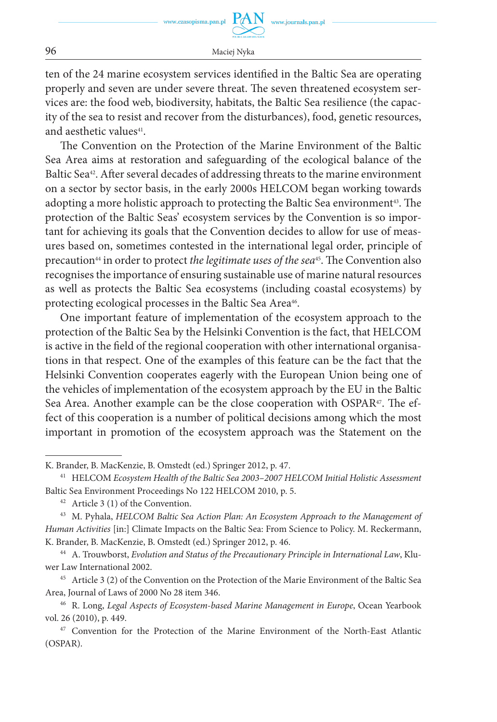ten of the 24 marine ecosystem services identified in the Baltic Sea are operating properly and seven are under severe threat. The seven threatened ecosystem services are: the food web, biodiversity, habitats, the Baltic Sea resilience (the capacity of the sea to resist and recover from the disturbances), food, genetic resources, and aesthetic values<sup>41</sup>.

The Convention on the Protection of the Marine Environment of the Baltic Sea Area aims at restoration and safeguarding of the ecological balance of the Baltic Sea<sup>42</sup>. After several decades of addressing threats to the marine environment on a sector by sector basis, in the early 2000s HELCOM began working towards adopting a more holistic approach to protecting the Baltic Sea environment<sup>43</sup>. The protection of the Baltic Seas' ecosystem services by the Convention is so important for achieving its goals that the Convention decides to allow for use of measures based on, sometimes contested in the international legal order, principle of precaution<sup>44</sup> in order to protect *the legitimate uses of the sea*<sup>45</sup>. The Convention also recognises the importance of ensuring sustainable use of marine natural resources as well as protects the Baltic Sea ecosystems (including coastal ecosystems) by protecting ecological processes in the Baltic Sea Area<sup>46</sup>.

One important feature of implementation of the ecosystem approach to the protection of the Baltic Sea by the Helsinki Convention is the fact, that HELCOM is active in the field of the regional cooperation with other international organisations in that respect. One of the examples of this feature can be the fact that the Helsinki Convention cooperates eagerly with the European Union being one of the vehicles of implementation of the ecosystem approach by the EU in the Baltic Sea Area. Another example can be the close cooperation with OSPAR<sup>47</sup>. The effect of this cooperation is a number of political decisions among which the most important in promotion of the ecosystem approach was the Statement on the

<sup>45</sup> Article 3 (2) of the Convention on the Protection of the Marie Environment of the Baltic Sea Area, Journal of Laws of 2000 No 28 item 346.

K. Brander, B. MacKenzie, B. Omstedt (ed.) Springer 2012, p. 47.

<sup>41</sup> HELCOM *Ecosystem Health of the Baltic Sea 2003–2007 HELCOM Initial Holistic Assessment* Baltic Sea Environment Proceedings No 122 HELCOM 2010, p. 5.

 $42$  Article 3 (1) of the Convention.

<sup>43</sup> M. Pyhala, *HELCOM Baltic Sea Action Plan: An Ecosystem Approach to the Management of Human Activities* [in:] Climate Impacts on the Baltic Sea: From Science to Policy. M. Reckermann, K. Brander, B. MacKenzie, B. Omstedt (ed.) Springer 2012, p. 46.

<sup>44</sup> A. Trouwborst, *Evolution and Status of the Precautionary Principle in International Law*, Kluwer Law International 2002.

<sup>&</sup>lt;sup>46</sup> R. Long, *Legal Aspects of Ecosystem-based Marine Management in Europe*, Ocean Yearbook vol. 26 (2010), p. 449.

<sup>47</sup> Convention for the Protection of the Marine Environment of the North-East Atlantic (OSPAR).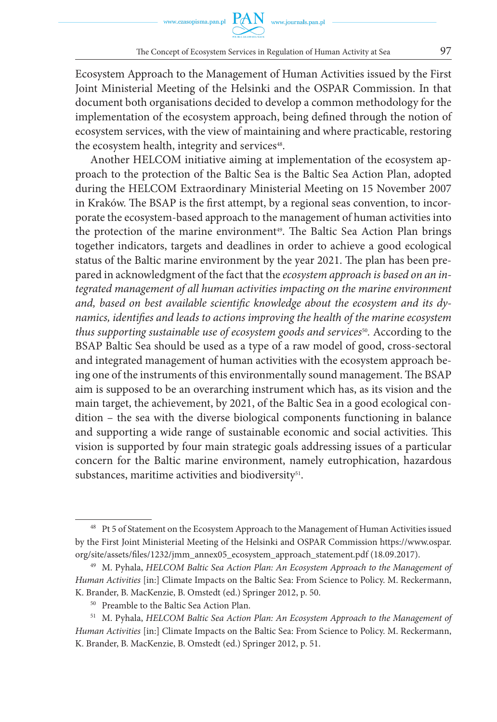Ecosystem Approach to the Management of Human Activities issued by the First Joint Ministerial Meeting of the Helsinki and the OSPAR Commission. In that document both organisations decided to develop a common methodology for the implementation of the ecosystem approach, being defined through the notion of ecosystem services, with the view of maintaining and where practicable, restoring the ecosystem health, integrity and services<sup>48</sup>.

Another HELCOM initiative aiming at implementation of the ecosystem approach to the protection of the Baltic Sea is the Baltic Sea Action Plan, adopted during the HELCOM Extraordinary Ministerial Meeting on 15 November 2007 in Kraków. The BSAP is the first attempt, by a regional seas convention, to incorporate the ecosystem-based approach to the management of human activities into the protection of the marine environment<sup>49</sup>. The Baltic Sea Action Plan brings together indicators, targets and deadlines in order to achieve a good ecological status of the Baltic marine environment by the year 2021. The plan has been prepared in acknowledgment of the fact that the *ecosystem approach is based on an integrated management of all human activities impacting on the marine environment and, based on best available scientific knowledge about the ecosystem and its dynamics, identifies and leads to actions improving the health of the marine ecosystem thus supporting sustainable use of ecosystem goods and services<sup>50</sup>. According to the* BSAP Baltic Sea should be used as a type of a raw model of good, cross-sectoral and integrated management of human activities with the ecosystem approach being one of the instruments of this environmentally sound management. The BSAP aim is supposed to be an overarching instrument which has, as its vision and the main target, the achievement, by 2021, of the Baltic Sea in a good ecological condition – the sea with the diverse biological components functioning in balance and supporting a wide range of sustainable economic and social activities. This vision is supported by four main strategic goals addressing issues of a particular concern for the Baltic marine environment, namely eutrophication, hazardous substances, maritime activities and biodiversity<sup>51</sup>.

<sup>&</sup>lt;sup>48</sup> Pt 5 of Statement on the Ecosystem Approach to the Management of Human Activities issued by the First Joint Ministerial Meeting of the Helsinki and OSPAR Commission https://www.ospar. org/site/assets/files/1232/jmm\_annex05\_ecosystem\_approach\_statement.pdf (18.09.2017).

<sup>49</sup> M. Pyhala, *HELCOM Baltic Sea Action Plan: An Ecosystem Approach to the Management of Human Activities* [in:] Climate Impacts on the Baltic Sea: From Science to Policy. M. Reckermann, K. Brander, B. MacKenzie, B. Omstedt (ed.) Springer 2012, p. 50.

<sup>50</sup> Preamble to the Baltic Sea Action Plan.

<sup>51</sup> M. Pyhala, *HELCOM Baltic Sea Action Plan: An Ecosystem Approach to the Management of Human Activities* [in:] Climate Impacts on the Baltic Sea: From Science to Policy. M. Reckermann, K. Brander, B. MacKenzie, B. Omstedt (ed.) Springer 2012, p. 51.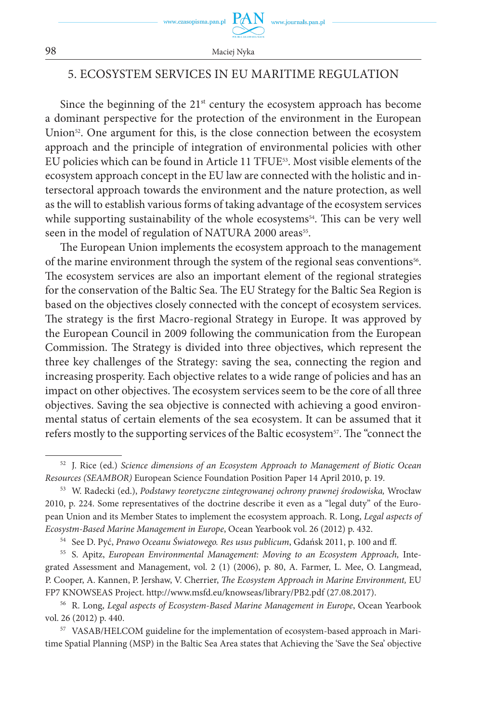

## 5. ECOSYSTEM SERVICES IN EU MARITIME REGULATION

Since the beginning of the  $21<sup>st</sup>$  century the ecosystem approach has become a dominant perspective for the protection of the environment in the European Union<sup>52</sup>. One argument for this, is the close connection between the ecosystem approach and the principle of integration of environmental policies with other EU policies which can be found in Article 11 TFUE53. Most visible elements of the ecosystem approach concept in the EU law are connected with the holistic and intersectoral approach towards the environment and the nature protection, as well as the will to establish various forms of taking advantage of the ecosystem services while supporting sustainability of the whole ecosystems<sup>54</sup>. This can be very well seen in the model of regulation of NATURA 2000 areas<sup>55</sup>.

The European Union implements the ecosystem approach to the management of the marine environment through the system of the regional seas conventions<sup>56</sup>. The ecosystem services are also an important element of the regional strategies for the conservation of the Baltic Sea. The EU Strategy for the Baltic Sea Region is based on the objectives closely connected with the concept of ecosystem services. The strategy is the first Macro-regional Strategy in Europe. It was approved by the European Council in 2009 following the communication from the European Commission. The Strategy is divided into three objectives, which represent the three key challenges of the Strategy: saving the sea, connecting the region and increasing prosperity. Each objective relates to a wide range of policies and has an impact on other objectives. The ecosystem services seem to be the core of all three objectives. Saving the sea objective is connected with achieving a good environmental status of certain elements of the sea ecosystem. It can be assumed that it refers mostly to the supporting services of the Baltic ecosystem57. The "connect the

<sup>52</sup> J. Rice (ed.) *Science dimensions of an Ecosystem Approach to Management of Biotic Ocean Resources (SEAMBOR)* European Science Foundation Position Paper 14 April 2010, p. 19.

<sup>53</sup> W. Radecki (ed.), *Podstawy teoretyczne zintegrowanej ochrony prawnej środowiska,* Wrocław 2010, p. 224. Some representatives of the doctrine describe it even as a "legal duty" of the European Union and its Member States to implement the ecosystem approach. R. Long, *Legal aspects of Ecosystm-Based Marine Management in Europe*, Ocean Yearbook vol. 26 (2012) p. 432.

<sup>54</sup> See D. Pyć, *Prawo Oceanu Światowego. Res usus publicum*, Gdańsk 2011, p. 100 and ff.

<sup>55</sup> S. Apitz, *European Environmental Management: Moving to an Ecosystem Approach,* Integrated Assessment and Management, vol. 2 (1) (2006), p. 80, A. Farmer, L. Mee, O. Langmead, P. Cooper, A. Kannen, P. Jershaw, V. Cherrier, *The Ecosystem Approach in Marine Environment,* EU FP7 KNOWSEAS Project. http://www.msfd.eu/knowseas/library/PB2.pdf (27.08.2017).

<sup>56</sup> R. Long, *Legal aspects of Ecosystem-Based Marine Management in Europe*, Ocean Yearbook vol. 26 (2012) p. 440.

<sup>57</sup> VASAB/HELCOM guideline for the implementation of ecosystem-based approach in Maritime Spatial Planning (MSP) in the Baltic Sea Area states that Achieving the 'Save the Sea' objective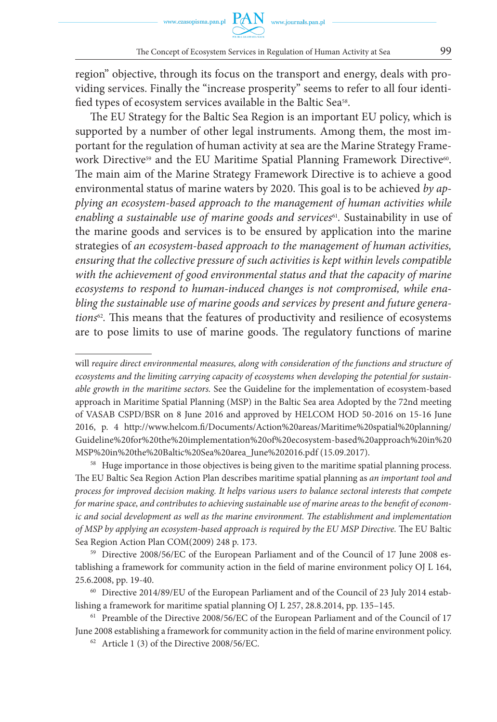region" objective, through its focus on the transport and energy, deals with providing services. Finally the "increase prosperity" seems to refer to all four identified types of ecosystem services available in the Baltic Sea<sup>58</sup>.

The EU Strategy for the Baltic Sea Region is an important EU policy, which is supported by a number of other legal instruments. Among them, the most important for the regulation of human activity at sea are the Marine Strategy Framework Directive<sup>59</sup> and the EU Maritime Spatial Planning Framework Directive<sup>60</sup>. The main aim of the Marine Strategy Framework Directive is to achieve a good environmental status of marine waters by 2020. This goal is to be achieved *by applying an ecosystem-based approach to the management of human activities while enabling a sustainable use of marine goods and services*61*.* Sustainability in use of the marine goods and services is to be ensured by application into the marine strategies of *an ecosystem-based approach to the management of human activities, ensuring that the collective pressure of such activities is kept within levels compatible*  with the achievement of good environmental status and that the capacity of marine *ecosystems to respond to human-induced changes is not compromised, while enabling the sustainable use of marine goods and services by present and future generations*62*.* This means that the features of productivity and resilience of ecosystems are to pose limits to use of marine goods. The regulatory functions of marine

will *require direct environmental measures, along with consideration of the functions and structure of ecosystems and the limiting carrying capacity of ecosystems when developing the potential for sustainable growth in the maritime sectors.* See the Guideline for the implementation of ecosystem-based approach in Maritime Spatial Planning (MSP) in the Baltic Sea area Adopted by the 72nd meeting of VASAB CSPD/BSR on 8 June 2016 and approved by HELCOM HOD 50-2016 on 15-16 June 2016, p. 4 http://www.helcom.fi/Documents/Action%20areas/Maritime%20spatial%20planning/ Guideline%20for%20the%20implementation%20of%20ecosystem-based%20approach%20in%20 MSP%20in%20the%20Baltic%20Sea%20area\_June%202016.pdf (15.09.2017).

<sup>&</sup>lt;sup>58</sup> Huge importance in those objectives is being given to the maritime spatial planning process. The EU Baltic Sea Region Action Plan describes maritime spatial planning as *an important tool and process for improved decision making. It helps various users to balance sectoral interests that compete for marine space, and contributes to achieving sustainable use of marine areas to the benefit of economic and social development as well as the marine environment. The establishment and implementation of MSP by applying an ecosystem-based approach is required by the EU MSP Directive.* The EU Baltic Sea Region Action Plan COM(2009) 248 p. 173.

<sup>59</sup> Directive 2008/56/EC of the European Parliament and of the Council of 17 June 2008 establishing a framework for community action in the field of marine environment policy OJ L 164, 25.6.2008, pp. 19-40.

<sup>&</sup>lt;sup>60</sup> Directive 2014/89/EU of the European Parliament and of the Council of 23 July 2014 establishing a framework for maritime spatial planning OJ L 257, 28.8.2014, pp. 135–145.

<sup>61</sup> Preamble of the Directive 2008/56/EC of the European Parliament and of the Council of 17 June 2008 establishing a framework for community action in the field of marine environment policy.

 $62$  Article 1 (3) of the Directive 2008/56/EC.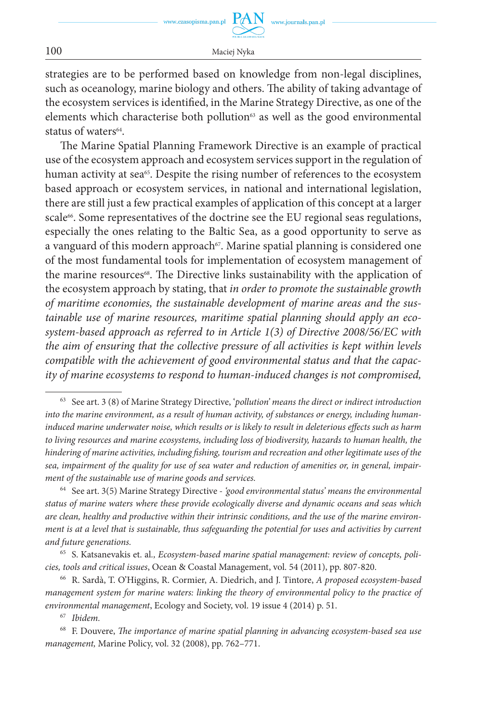www.czasopisma.pan.pl

100 Maciej Nyka

strategies are to be performed based on knowledge from non-legal disciplines, such as oceanology, marine biology and others. The ability of taking advantage of the ecosystem services is identified, in the Marine Strategy Directive, as one of the elements which characterise both pollution<sup>63</sup> as well as the good environmental status of waters<sup>64</sup>.

The Marine Spatial Planning Framework Directive is an example of practical use of the ecosystem approach and ecosystem services support in the regulation of human activity at sea<sup>65</sup>. Despite the rising number of references to the ecosystem based approach or ecosystem services, in national and international legislation, there are still just a few practical examples of application of this concept at a larger scale<sup>66</sup>. Some representatives of the doctrine see the EU regional seas regulations, especially the ones relating to the Baltic Sea, as a good opportunity to serve as a vanguard of this modern approach<sup>67</sup>. Marine spatial planning is considered one of the most fundamental tools for implementation of ecosystem management of the marine resources<sup>68</sup>. The Directive links sustainability with the application of the ecosystem approach by stating, that *in order to promote the sustainable growth of maritime economies, the sustainable development of marine areas and the sustainable use of marine resources, maritime spatial planning should apply an ecosystem-based approach as referred to in Article 1(3) of Directive 2008/56/EC with the aim of ensuring that the collective pressure of all activities is kept within levels compatible with the achievement of good environmental status and that the capacity of marine ecosystems to respond to human-induced changes is not compromised,* 

<sup>64</sup> See art. 3(5) Marine Strategy Directive - *'good environmental status' means the environmental status of marine waters where these provide ecologically diverse and dynamic oceans and seas which are clean, healthy and productive within their intrinsic conditions, and the use of the marine environment is at a level that is sustainable, thus safeguarding the potential for uses and activities by current and future generations.*

<sup>65</sup> S. Katsanevakis et. al*., Ecosystem-based marine spatial management: review of concepts, policies, tools and critical issues*, Ocean & Coastal Management, vol. 54 (2011), pp. 807-820.

<sup>66</sup> R. Sardà, T. O'Higgins, R. Cormier, A. Diedrich, and J. Tintore, *A proposed ecosystem-based management system for marine waters: linking the theory of environmental policy to the practice of environmental management*, Ecology and Society, vol. 19 issue 4 (2014) p. 51.

<sup>67</sup> *Ibidem.*

<sup>68</sup> F. Douvere, *The importance of marine spatial planning in advancing ecosystem-based sea use management,* Marine Policy, vol. 32 (2008), pp. 762–771.

<sup>63</sup> See art. 3 (8) of Marine Strategy Directive, '*pollution' means the direct or indirect introduction into the marine environment, as a result of human activity, of substances or energy, including humaninduced marine underwater noise, which results or is likely to result in deleterious effects such as harm to living resources and marine ecosystems, including loss of biodiversity, hazards to human health, the hindering of marine activities, including fishing, tourism and recreation and other legitimate uses of the sea, impairment of the quality for use of sea water and reduction of amenities or, in general, impairment of the sustainable use of marine goods and services.*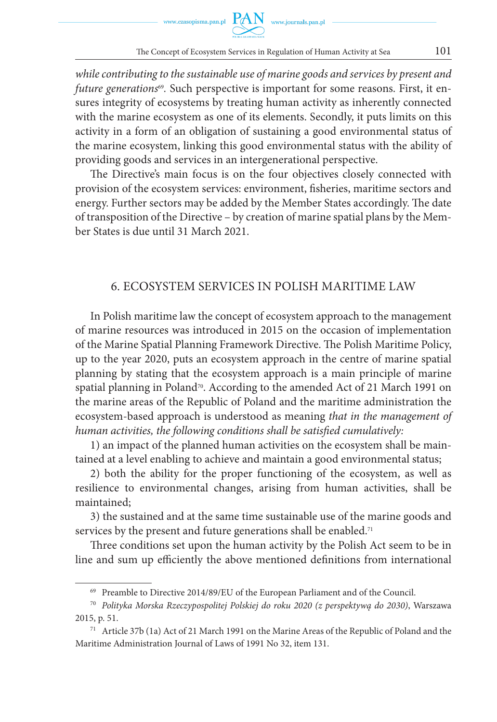*while contributing to the sustainable use of marine goods and services by present and future generations<sup>69</sup>*. Such perspective is important for some reasons. First, it ensures integrity of ecosystems by treating human activity as inherently connected with the marine ecosystem as one of its elements. Secondly, it puts limits on this activity in a form of an obligation of sustaining a good environmental status of the marine ecosystem, linking this good environmental status with the ability of providing goods and services in an intergenerational perspective.

The Directive's main focus is on the four objectives closely connected with provision of the ecosystem services: environment, fisheries, maritime sectors and energy. Further sectors may be added by the Member States accordingly. The date of transposition of the Directive – by creation of marine spatial plans by the Member States is due until 31 March 2021.

#### 6. ECOSYSTEM SERVICES IN POLISH MARITIME LAW

In Polish maritime law the concept of ecosystem approach to the management of marine resources was introduced in 2015 on the occasion of implementation of the Marine Spatial Planning Framework Directive. The Polish Maritime Policy, up to the year 2020, puts an ecosystem approach in the centre of marine spatial planning by stating that the ecosystem approach is a main principle of marine spatial planning in Poland<sup>70</sup>. According to the amended Act of 21 March 1991 on the marine areas of the Republic of Poland and the maritime administration the ecosystem-based approach is understood as meaning *that in the management of human activities, the following conditions shall be satisfied cumulatively:*

1) an impact of the planned human activities on the ecosystem shall be maintained at a level enabling to achieve and maintain a good environmental status;

2) both the ability for the proper functioning of the ecosystem, as well as resilience to environmental changes, arising from human activities, shall be maintained;

3) the sustained and at the same time sustainable use of the marine goods and services by the present and future generations shall be enabled.<sup>71</sup>

Three conditions set upon the human activity by the Polish Act seem to be in line and sum up efficiently the above mentioned definitions from international

<sup>69</sup> Preamble to Directive 2014/89/EU of the European Parliament and of the Council.

<sup>70</sup> *Polityka Morska Rzeczypospolitej Polskiej do roku 2020 (z perspektywą do 2030)*, Warszawa 2015, p. 51.

<sup>71</sup> Article 37b (1a) Act of 21 March 1991 on the Marine Areas of the Republic of Poland and the Maritime Administration Journal of Laws of 1991 No 32, item 131.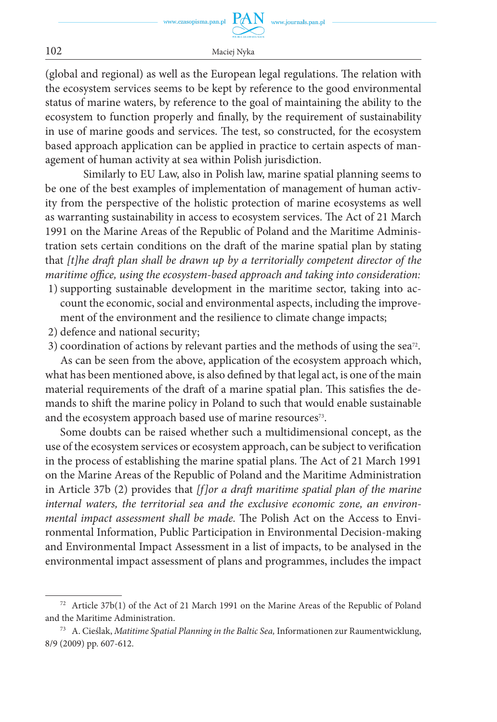(global and regional) as well as the European legal regulations. The relation with the ecosystem services seems to be kept by reference to the good environmental status of marine waters, by reference to the goal of maintaining the ability to the ecosystem to function properly and finally, by the requirement of sustainability in use of marine goods and services. The test, so constructed, for the ecosystem based approach application can be applied in practice to certain aspects of management of human activity at sea within Polish jurisdiction.

Similarly to EU Law, also in Polish law, marine spatial planning seems to be one of the best examples of implementation of management of human activity from the perspective of the holistic protection of marine ecosystems as well as warranting sustainability in access to ecosystem services. The Act of 21 March 1991 on the Marine Areas of the Republic of Poland and the Maritime Administration sets certain conditions on the draft of the marine spatial plan by stating that *[t]he draft plan shall be drawn up by a territorially competent director of the maritime office, using the ecosystem-based approach and taking into consideration:*

- 1) supporting sustainable development in the maritime sector, taking into account the economic, social and environmental aspects, including the improvement of the environment and the resilience to climate change impacts;
- 2) defence and national security;
- 3) coordination of actions by relevant parties and the methods of using the sea<sup>72</sup>. As can be seen from the above, application of the ecosystem approach which, what has been mentioned above, is also defined by that legal act, is one of the main material requirements of the draft of a marine spatial plan. This satisfies the demands to shift the marine policy in Poland to such that would enable sustainable and the ecosystem approach based use of marine resources<sup>73</sup>.

Some doubts can be raised whether such a multidimensional concept, as the use of the ecosystem services or ecosystem approach, can be subject to verification in the process of establishing the marine spatial plans. The Act of 21 March 1991 on the Marine Areas of the Republic of Poland and the Maritime Administration in Article 37b (2) provides that *[f]or a draft maritime spatial plan of the marine internal waters, the territorial sea and the exclusive economic zone, an environmental impact assessment shall be made.* The Polish Act on the Access to Environmental Information, Public Participation in Environmental Decision-making and Environmental Impact Assessment in a list of impacts, to be analysed in the environmental impact assessment of plans and programmes, includes the impact

<sup>72</sup> Article 37b(1) of the Act of 21 March 1991 on the Marine Areas of the Republic of Poland and the Maritime Administration.

<sup>73</sup> A. Cieślak, *Matitime Spatial Planning in the Baltic Sea,* Informationen zur Raumentwicklung, 8/9 (2009) pp. 607-612.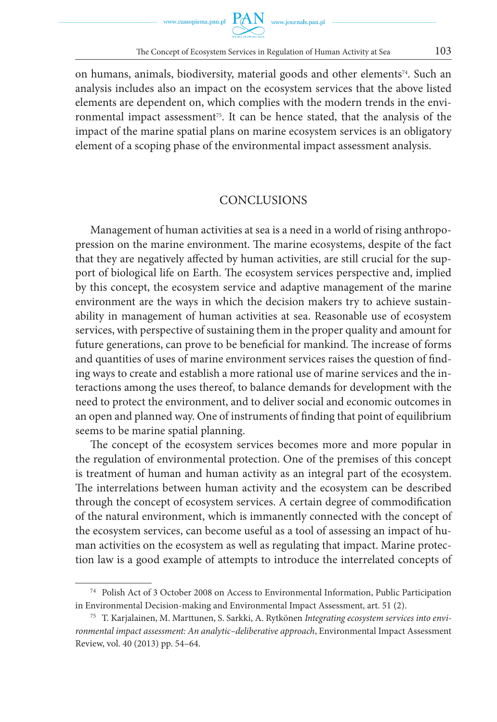on humans, animals, biodiversity, material goods and other elements<sup>74</sup>. Such an analysis includes also an impact on the ecosystem services that the above listed elements are dependent on, which complies with the modern trends in the environmental impact assessment<sup>75</sup>. It can be hence stated, that the analysis of the impact of the marine spatial plans on marine ecosystem services is an obligatory element of a scoping phase of the environmental impact assessment analysis.

#### **CONCLUSIONS**

Management of human activities at sea is a need in a world of rising anthropopression on the marine environment. The marine ecosystems, despite of the fact that they are negatively affected by human activities, are still crucial for the support of biological life on Earth. The ecosystem services perspective and, implied by this concept, the ecosystem service and adaptive management of the marine environment are the ways in which the decision makers try to achieve sustainability in management of human activities at sea. Reasonable use of ecosystem services, with perspective of sustaining them in the proper quality and amount for future generations, can prove to be beneficial for mankind. The increase of forms and quantities of uses of marine environment services raises the question of finding ways to create and establish a more rational use of marine services and the interactions among the uses thereof, to balance demands for development with the need to protect the environment, and to deliver social and economic outcomes in an open and planned way. One of instruments of finding that point of equilibrium seems to be marine spatial planning.

The concept of the ecosystem services becomes more and more popular in the regulation of environmental protection. One of the premises of this concept is treatment of human and human activity as an integral part of the ecosystem. The interrelations between human activity and the ecosystem can be described through the concept of ecosystem services. A certain degree of commodification of the natural environment, which is immanently connected with the concept of the ecosystem services, can become useful as a tool of assessing an impact of human activities on the ecosystem as well as regulating that impact. Marine protection law is a good example of attempts to introduce the interrelated concepts of

<sup>74</sup> Polish Act of 3 October 2008 on Access to Environmental Information, Public Participation in Environmental Decision-making and Environmental Impact Assessment, art. 51 (2).

<sup>75</sup> T. Karjalainen, M. Marttunen, S. Sarkki, A. Rytkönen *Integrating ecosystem services into environmental impact assessment: An analytic–deliberative approach*, Environmental Impact Assessment Review, vol. 40 (2013) pp. 54–64.